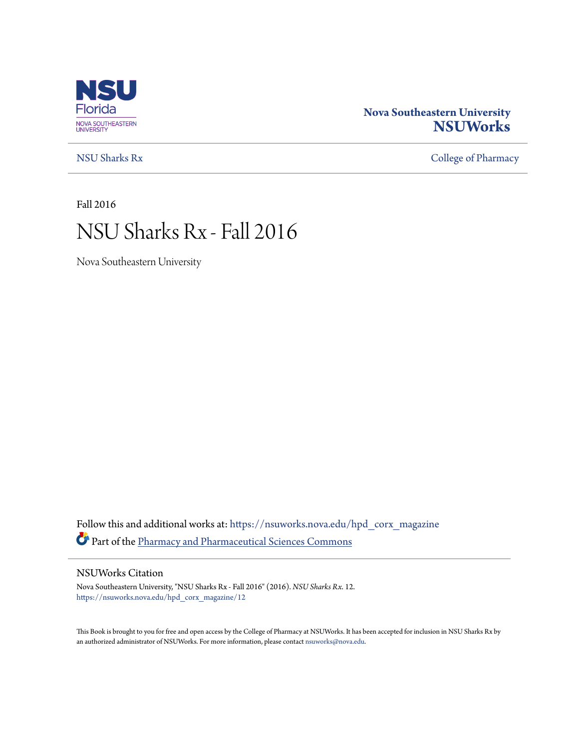

### **Nova Southeastern University [NSUWorks](https://nsuworks.nova.edu?utm_source=nsuworks.nova.edu%2Fhpd_corx_magazine%2F12&utm_medium=PDF&utm_campaign=PDFCoverPages)**

[NSU Sharks Rx](https://nsuworks.nova.edu/hpd_corx_magazine?utm_source=nsuworks.nova.edu%2Fhpd_corx_magazine%2F12&utm_medium=PDF&utm_campaign=PDFCoverPages) [College of Pharmacy](https://nsuworks.nova.edu/hpd_corx?utm_source=nsuworks.nova.edu%2Fhpd_corx_magazine%2F12&utm_medium=PDF&utm_campaign=PDFCoverPages)

Fall 2016

# NSU Sharks Rx - Fall 2016

Nova Southeastern University

Follow this and additional works at: [https://nsuworks.nova.edu/hpd\\_corx\\_magazine](https://nsuworks.nova.edu/hpd_corx_magazine?utm_source=nsuworks.nova.edu%2Fhpd_corx_magazine%2F12&utm_medium=PDF&utm_campaign=PDFCoverPages) Part of the [Pharmacy and Pharmaceutical Sciences Commons](http://network.bepress.com/hgg/discipline/731?utm_source=nsuworks.nova.edu%2Fhpd_corx_magazine%2F12&utm_medium=PDF&utm_campaign=PDFCoverPages)

#### NSUWorks Citation

Nova Southeastern University, "NSU Sharks Rx - Fall 2016" (2016). *NSU Sharks Rx*. 12. [https://nsuworks.nova.edu/hpd\\_corx\\_magazine/12](https://nsuworks.nova.edu/hpd_corx_magazine/12?utm_source=nsuworks.nova.edu%2Fhpd_corx_magazine%2F12&utm_medium=PDF&utm_campaign=PDFCoverPages)

This Book is brought to you for free and open access by the College of Pharmacy at NSUWorks. It has been accepted for inclusion in NSU Sharks Rx by an authorized administrator of NSUWorks. For more information, please contact [nsuworks@nova.edu.](mailto:nsuworks@nova.edu)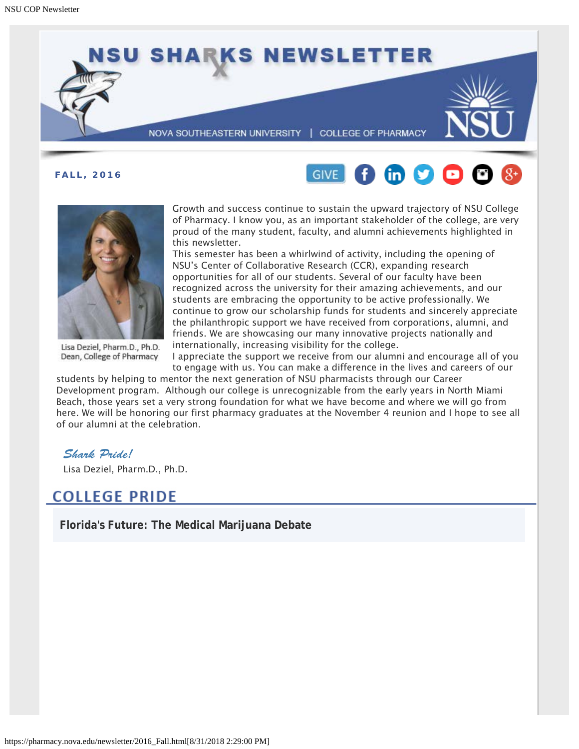





Lisa Deziel, Pharm.D., Ph.D. Dean, College of Pharmacy

Growth and success continue to sustain the upward trajectory of NSU College of Pharmacy. I know you, as an important stakeholder of the college, are very proud of the many student, faculty, and alumni achievements highlighted in this newsletter.

This semester has been a whirlwind of activity, including the opening of NSU's Center of Collaborative Research (CCR), expanding research opportunities for all of our students. Several of our faculty have been recognized across the university for their amazing achievements, and our students are embracing the opportunity to be active professionally. We continue to grow our scholarship funds for students and sincerely appreciate the philanthropic support we have received from corporations, alumni, and friends. We are showcasing our many innovative projects nationally and internationally, increasing visibility for the college.

I appreciate the support we receive from our alumni and encourage all of you to engage with us. You can make a difference in the lives and careers of our

students by helping to mentor the next generation of NSU pharmacists through our Career Development program. Although our college is unrecognizable from the early years in North Miami Beach, those years set a very strong foundation for what we have become and where we will go from here. We will be honoring our first pharmacy graduates at the November 4 reunion and I hope to see all of our alumni at the celebration.

### *Shark Pride!*

Lisa Deziel, Pharm.D., Ph.D.

### **COLLEGE PRIDE**

**Florida's Future: The Medical Marijuana Debate**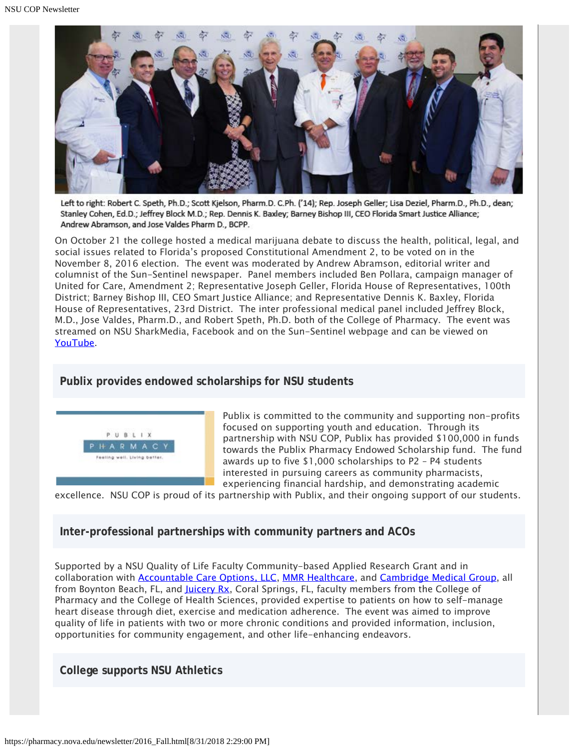

Left to right: Robert C. Speth, Ph.D.; Scott Kjelson, Pharm.D. C.Ph. ('14); Rep. Joseph Geller; Lisa Deziel, Pharm.D., Ph.D., dean; Stanley Cohen, Ed.D.; Jeffrey Block M.D.; Rep. Dennis K. Baxley; Barney Bishop III, CEO Florida Smart Justice Alliance; Andrew Abramson, and Jose Valdes Pharm D., BCPP.

On October 21 the college hosted a medical marijuana debate to discuss the health, political, legal, and social issues related to Florida's proposed Constitutional Amendment 2, to be voted on in the November 8, 2016 election. The event was moderated by Andrew Abramson, editorial writer and columnist of the Sun-Sentinel newspaper. Panel members included Ben Pollara, campaign manager of United for Care, Amendment 2; Representative Joseph Geller, Florida House of Representatives, 100th District; Barney Bishop III, CEO Smart Justice Alliance; and Representative Dennis K. Baxley, Florida House of Representatives, 23rd District. The inter professional medical panel included Jeffrey Block, M.D., Jose Valdes, Pharm.D., and Robert Speth, Ph.D. both of the College of Pharmacy. The event was streamed on NSU SharkMedia, Facebook and on the Sun-Sentinel webpage and can be viewed on [YouTube](https://www.youtube.com/watch?v=pWLmc3bbuRA&feature=youtu.be&utm_source=Copy+of+October+24,+2016+Smart+Justice+Update&utm_campaign=Smart+Justice+Update&utm_medium=email).

### **Publix provides endowed scholarships for NSU students**



Publix is committed to the community and supporting non-profits focused on supporting youth and education. Through its partnership with NSU COP, Publix has provided \$100,000 in funds towards the Publix Pharmacy Endowed Scholarship fund. The fund awards up to five \$1,000 scholarships to P2 – P4 students interested in pursuing careers as community pharmacists, experiencing financial hardship, and demonstrating academic

excellence. NSU COP is proud of its partnership with Publix, and their ongoing support of our students.

### **Inter-professional partnerships with community partners and ACOs**

Supported by a NSU Quality of Life Faculty Community-based Applied Research Grant and in collaboration with **Accountable Care Options, LLC, [MMR Healthcare](https://www.mmrhealthcare.com/)**, and **[Cambridge Medical Group](https://www.healthgrades.com/group-directory/fl-florida/boynton-beach/cambridge-medical-group-ootb5s5)**, all from Boynton Beach, FL, and [Juicery Rx,](http://www.juiceryrx.com/) Coral Springs, FL, faculty members from the College of Pharmacy and the College of Health Sciences, provided expertise to patients on how to self-manage heart disease through diet, exercise and medication adherence. The event was aimed to improve quality of life in patients with two or more chronic conditions and provided information, inclusion, opportunities for community engagement, and other life-enhancing endeavors.

**College supports NSU Athletics**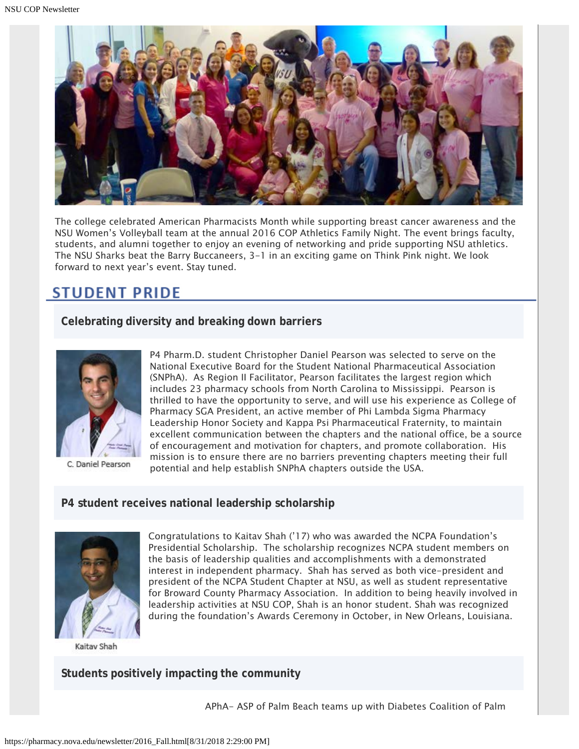

The college celebrated American Pharmacists Month while supporting breast cancer awareness and the NSU Women's Volleyball team at the annual 2016 COP Athletics Family Night. The event brings faculty, students, and alumni together to enjoy an evening of networking and pride supporting NSU athletics. The NSU Sharks beat the Barry Buccaneers, 3-1 in an exciting game on Think Pink night. We look forward to next year's event. Stay tuned.

### **STUDENT PRIDE**

**Celebrating diversity and breaking down barriers**



C. Daniel Pearson

P4 Pharm.D. student Christopher Daniel Pearson was selected to serve on the National Executive Board for the Student National Pharmaceutical Association (SNPhA). As Region II Facilitator, Pearson facilitates the largest region which includes 23 pharmacy schools from North Carolina to Mississippi. Pearson is thrilled to have the opportunity to serve, and will use his experience as College of Pharmacy SGA President, an active member of Phi Lambda Sigma Pharmacy Leadership Honor Society and Kappa Psi Pharmaceutical Fraternity, to maintain excellent communication between the chapters and the national office, be a source of encouragement and motivation for chapters, and promote collaboration. His mission is to ensure there are no barriers preventing chapters meeting their full potential and help establish SNPhA chapters outside the USA.

### **P4 student receives national leadership scholarship**



Kaitav Shah

Congratulations to Kaitav Shah ('17) who was awarded the NCPA Foundation's Presidential Scholarship. The scholarship recognizes NCPA student members on the basis of leadership qualities and accomplishments with a demonstrated interest in independent pharmacy. Shah has served as both vice-president and president of the NCPA Student Chapter at NSU, as well as student representative for Broward County Pharmacy Association. In addition to being heavily involved in leadership activities at NSU COP, Shah is an honor student. Shah was recognized during the foundation's Awards Ceremony in October, in New Orleans, Louisiana.

### **Students positively impacting the community**

APhA- ASP of Palm Beach teams up with Diabetes Coalition of Palm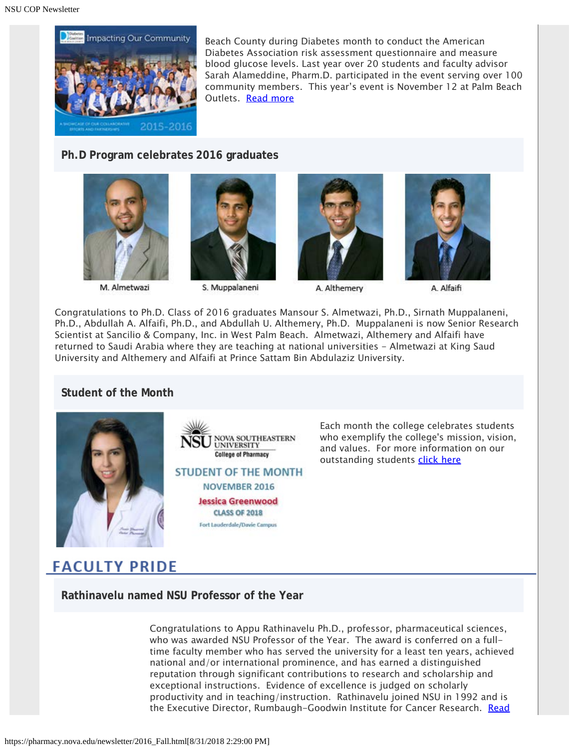

Beach County during Diabetes month to conduct the American Diabetes Association risk assessment questionnaire and measure blood glucose levels. Last year over 20 students and faculty advisor Sarah Alameddine, Pharm.D. participated in the event serving over 100 community members. This year's event is November 12 at Palm Beach Outlets. [Read more](http://www.palmhealthcare.org/index.cfm?fuseaction=news.details&ArticleId=500109&returnTo=diabetes)

### **Ph.D Program celebrates 2016 graduates**



M. Almetwazi



S. Muppalaneni







A. Alfaifi

Congratulations to Ph.D. Class of 2016 graduates Mansour S. Almetwazi, Ph.D., Sirnath Muppalaneni, Ph.D., Abdullah A. Alfaifi, Ph.D., and Abdullah U. Althemery, Ph.D. Muppalaneni is now Senior Research Scientist at Sancilio & Company, Inc. in West Palm Beach. Almetwazi, Althemery and Alfaifi have returned to Saudi Arabia where they are teaching at national universities - Almetwazi at King Saud University and Althemery and Alfaifi at Prince Sattam Bin Abdulaziz University.

### **Student of the Month**



**JOVA SOUTHEASTERN UNIVERSITY College of Pharmacy STUDENT OF THE MONTH** NOVEMBER 2016 **Jessica Greenwood CLASS OF 2018** Fort Lauderdale/Davie Campus

Each month the college celebrates students who exemplify the college's mission, vision, and values. For more information on our outstanding students [click here](http://pharmacy.nova.edu/students/som_current.html)

## **FACULTY PRIDE**

**Rathinavelu named NSU Professor of the Year**

Congratulations to Appu Rathinavelu Ph.D., professor, pharmaceutical sciences, who was awarded NSU Professor of the Year. The award is conferred on a fulltime faculty member who has served the university for a least ten years, achieved national and/or international prominence, and has earned a distinguished reputation through significant contributions to research and scholarship and exceptional instructions. Evidence of excellence is judged on scholarly productivity and in teaching/instruction. Rathinavelu joined NSU in 1992 and is the Executive Director, Rumbaugh-Goodwin Institute for Cancer Research. [Read](https://nsunews.nova.edu/nova-southeastern-university-cancer-researcher-earns-prestigious-fulbright-award/)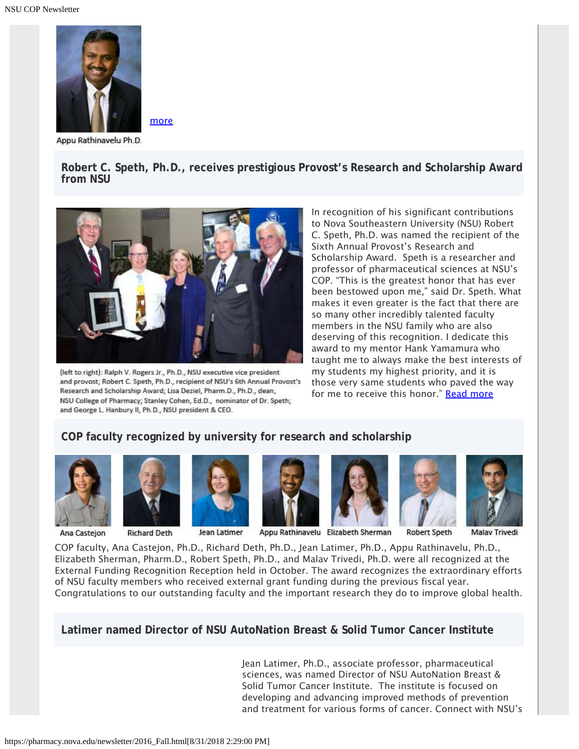

[more](https://nsunews.nova.edu/nova-southeastern-university-cancer-researcher-earns-prestigious-fulbright-award/)

Appu Rathinavelu Ph.D.

**Robert C. Speth, Ph.D., receives prestigious Provost's Research and Scholarship Award from NSU**



(left to right): Ralph V. Rogers Jr., Ph.D., NSU executive vice president and provost; Robert C. Speth, Ph.D., recipient of NSU's 6th Annual Provost's Research and Scholarship Award; Lisa Deziel, Pharm.D., Ph.D., dean, NSU College of Pharmacy; Stanley Cohen, Ed.D., nominator of Dr. Speth; and George L. Hanbury II, Ph.D., NSU president & CEO.

In recognition of his significant contributions to Nova Southeastern University (NSU) Robert C. Speth, Ph.D. was named the recipient of the Sixth Annual Provost's Research and Scholarship Award. Speth is a researcher and professor of pharmaceutical sciences at NSU's COP. "This is the greatest honor that has ever been bestowed upon me," said Dr. Speth. What makes it even greater is the fact that there are so many other incredibly talented faculty members in the NSU family who are also deserving of this recognition. I dedicate this award to my mentor Hank Yamamura who taught me to always make the best interests of my students my highest priority, and it is those very same students who paved the way for me to receive this honor." [Read more](https://nsunews.nova.edu/nsu-researcher-and-professor-receives-prestigious-provosts-research-and-scholarship-award/)

### **COP faculty recognized by university for research and scholarship**



Ana Casteion



**Richard Deth** 



Jean Latimer







COP faculty, Ana Castejon, Ph.D., Richard Deth, Ph.D., Jean Latimer, Ph.D., Appu Rathinavelu, Ph.D., Elizabeth Sherman, Pharm.D., Robert Speth, Ph.D., and Malav Trivedi, Ph.D. were all recognized at the External Funding Recognition Reception held in October. The award recognizes the extraordinary efforts of NSU faculty members who received external grant funding during the previous fiscal year. Congratulations to our outstanding faculty and the important research they do to improve global health.

**Latimer named Director of NSU AutoNation Breast & Solid Tumor Cancer Institute**

Jean Latimer, Ph.D., associate professor, pharmaceutical sciences, was named Director of NSU AutoNation Breast & Solid Tumor Cancer Institute. The institute is focused on developing and advancing improved methods of prevention and treatment for various forms of cancer. Connect with NSU's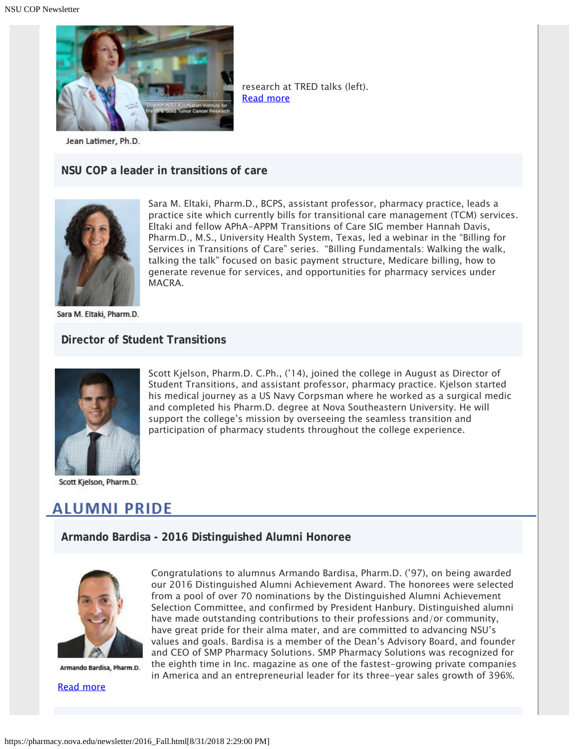

Jean Latimer, Ph.D.

#### **NSU COP a leader in transitions of care**



Sara M. Eltaki, Pharm.D., BCPS, assistant professor, pharmacy practice, leads a practice site which currently bills for transitional care management (TCM) services. Eltaki and fellow APhA-APPM Transitions of Care SIG member Hannah Davis, Pharm.D., M.S., University Health System, Texas, led a webinar in the "Billing for Services in Transitions of Care" series. "Billing Fundamentals: Walking the walk, talking the talk" focused on basic payment structure, Medicare billing, how to generate revenue for services, and opportunities for pharmacy services under MACRA.

Scott Kjelson, Pharm.D. C.Ph., ('14), joined the college in August as Director of Student Transitions, and assistant professor, pharmacy practice. Kjelson started his medical journey as a US Navy Corpsman where he worked as a surgical medic and completed his Pharm.D. degree at Nova Southeastern University. He will support the college's mission by overseeing the seamless transition and participation of pharmacy students throughout the college experience.

research at TRED talks (left).

[Read more](http://www.nova.edu/research/cancer.html)

Sara M. Eltaki, Pharm.D.

#### **Director of Student Transitions**



Scott Kjelson, Pharm.D.

### **ALUMNI PRIDE**

**Armando Bardisa - 2016 Distinguished Alumni Honoree**



Armando Bardisa, Pharm.D.

[Read more](http://www.marketwired.com/press-release/smp-pharmacy-solutions-receives-eighth-inc-5000-recognition-2162348.htm)

Congratulations to alumnus Armando Bardisa, Pharm.D. ('97), on being awarded our 2016 Distinguished Alumni Achievement Award. The honorees were selected from a pool of over 70 nominations by the Distinguished Alumni Achievement Selection Committee, and confirmed by President Hanbury. Distinguished alumni have made outstanding contributions to their professions and/or community, have great pride for their alma mater, and are committed to advancing NSU's values and goals. Bardisa is a member of the Dean's Advisory Board, and founder and CEO of SMP Pharmacy Solutions. SMP Pharmacy Solutions was recognized for the eighth time in Inc. magazine as one of the fastest-growing private companies in America and an entrepreneurial leader for its three-year sales growth of 396%.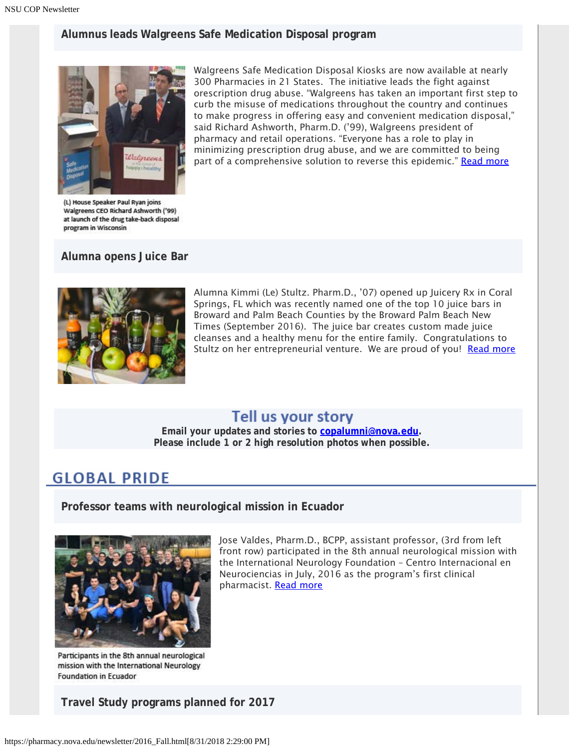### **Alumnus leads Walgreens Safe Medication Disposal program**



Walgreens Safe Medication Disposal Kiosks are now available at nearly 300 Pharmacies in 21 States. The initiative leads the fight against orescription drug abuse. "Walgreens has taken an important first step to curb the misuse of medications throughout the country and continues to make progress in offering easy and convenient medication disposal," said Richard Ashworth, Pharm.D. ('99), Walgreens president of pharmacy and retail operations. "Everyone has a role to play in minimizing prescription drug abuse, and we are committed to being part of a comprehensive solution to reverse this epidemic." [Read more](http://news.walgreens.com/press-releases/general-news/walgreens-safe-medication-disposal-kiosks-now-available-at-nearly-300-pharmacies-in-21-states-initiative-leads-fight-against-prescription-drug-abuse.htm)

(L) House Speaker Paul Ryan joins Walgreens CEO Richard Ashworth ('99) at launch of the drug take-back disposal program in Wisconsin

**Alumna opens Juice Bar**



Alumna Kimmi (Le) Stultz. Pharm.D., '07) opened up Juicery Rx in Coral Springs, FL which was recently named one of the top 10 juice bars in Broward and Palm Beach Counties by the Broward Palm Beach New Times (September 2016). The juice bar creates custom made juice cleanses and a healthy menu for the entire family. Congratulations to Stultz on her entrepreneurial venture. We are proud of you! [Read more](http://www.browardpalmbeach.com/restaurants/ten-best-juice-bars-in-broward-and-palm-beach-counties-6898813/2)

### Tell us your story

**Email your updates and stories to [copalumni@nova.edu.](mailto:copalumni@nova.edu) Please include 1 or 2 high resolution photos when possible.**

### **GLOBAL PRIDE**

**Professor teams with neurological mission in Ecuador**



Participants in the 8th annual neurological mission with the International Neurology **Foundation in Ecuador** 

**Travel Study programs planned for 2017**

Jose Valdes, Pharm.D., BCPP, assistant professor, (3rd from left front row) participated in the 8th annual neurological mission with the International Neurology Foundation – Centro Internacional en Neurociencias in July, 2016 as the program's first clinical pharmacist. [Read more](https://nsunews.nova.edu/nsu-pharmacy-faculty-member-participates-in-ecuador/)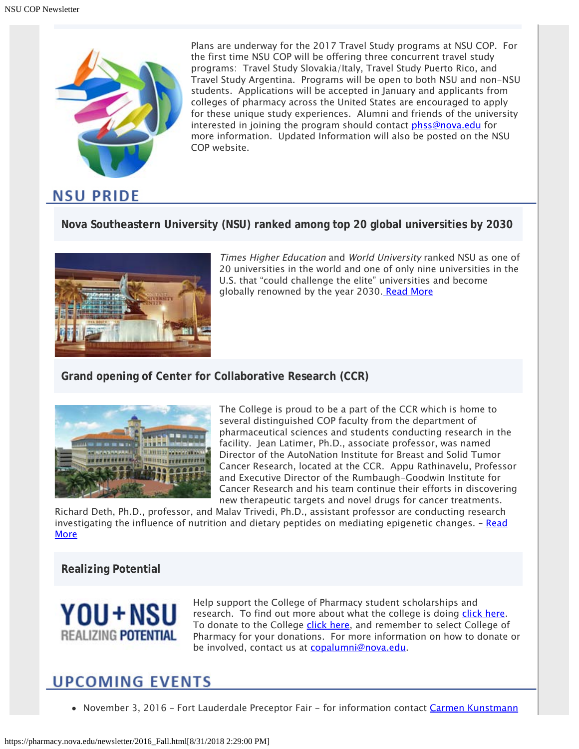

Plans are underway for the 2017 Travel Study programs at NSU COP. For the first time NSU COP will be offering three concurrent travel study programs: Travel Study Slovakia/Italy, Travel Study Puerto Rico, and Travel Study Argentina. Programs will be open to both NSU and non-NSU students. Applications will be accepted in January and applicants from colleges of pharmacy across the United States are encouraged to apply for these unique study experiences. Alumni and friends of the university interested in joining the program should contact [phss@nova.edu](mailto:phss@nova.edu) for more information. Updated Information will also be posted on the NSU COP website.

### **Nova Southeastern University (NSU) ranked among top 20 global universities by 2030**



Times Higher Education and World University ranked NSU as one of 20 universities in the world and one of only nine universities in the U.S. that "could challenge the elite" universities and become globally renowned by the year 2030[. Read More](https://nsunews.nova.edu/nova-southeastern-university-ranked-among-top-20-global-universities-that-could-challenge-the-elite-by-2030/)

### **Grand opening of Center for Collaborative Research (CCR)**



The College is proud to be a part of the CCR which is home to several distinguished COP faculty from the department of pharmaceutical sciences and students conducting research in the facility. Jean Latimer, Ph.D., associate professor, was named Director of the AutoNation Institute for Breast and Solid Tumor Cancer Research, located at the CCR. Appu Rathinavelu, Professor and Executive Director of the Rumbaugh-Goodwin Institute for Cancer Research and his team continue their efforts in discovering new therapeutic targets and novel drugs for cancer treatments.

Richard Deth, Ph.D., professor, and Malav Trivedi, Ph.D., assistant professor are conducting research investigating the influence of nutrition and dietary peptides on mediating epigenetic changes.  $-$  [Read](https://nsunews.nova.edu/nova-southeastern-university-opens-new-center-for-collaborative-research/) [More](https://nsunews.nova.edu/nova-southeastern-university-opens-new-center-for-collaborative-research/)

### **Realizing Potential**



Help support the College of Pharmacy student scholarships and research. To find out more about what the college is doing [click here](https://www.nova.edu/publications/realizingpotential/pharmacy/). To donate to the College [click here](https://realizingpotential.nova.edu/give/index.html?area=Research&designation=AutoNation%20Institute%20for%20Breast%20and%20Solid%20Tumor%20Research), and remember to select College of Pharmacy for your donations. For more information on how to donate or be involved, contact us at [copalumni@nova.edu](mailto:copalumni@nova.edu).

### **UPCOMING EVENTS**

• November 3, 2016 - Fort Lauderdale Preceptor Fair - for information contact [Carmen Kunstmann](mailto:ckunstmann@nova.edu)